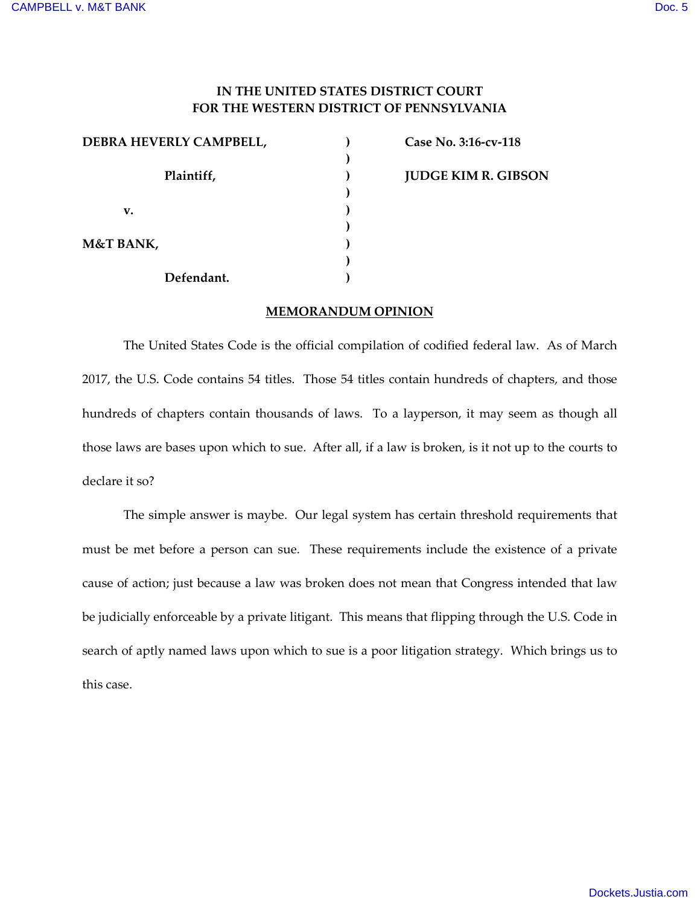# **IN THE UNITED STATES DISTRICT COURT FOR THE WESTERN DISTRICT OF PENNSYLVANIA**

| DEBRA HEVERLY CAMPBELL, |  |
|-------------------------|--|
| Plaintiff,              |  |
|                         |  |
| v.                      |  |
|                         |  |
| <b>M&amp;T BANK,</b>    |  |
|                         |  |
| Defendant.              |  |

 **Case No. 3:16-cv-118 JUDGE KIM R. GIBSON**

## **MEMORANDUM OPINION**

The United States Code is the official compilation of codified federal law. As of March 2017, the U.S. Code contains 54 titles. Those 54 titles contain hundreds of chapters, and those hundreds of chapters contain thousands of laws. To a layperson, it may seem as though all those laws are bases upon which to sue. After all, if a law is broken, is it not up to the courts to declare it so?

The simple answer is maybe. Our legal system has certain threshold requirements that must be met before a person can sue. These requirements include the existence of a private cause of action; just because a law was broken does not mean that Congress intended that law be judicially enforceable by a private litigant. This means that flipping through the U.S. Code in search of aptly named laws upon which to sue is a poor litigation strategy. Which brings us to this case.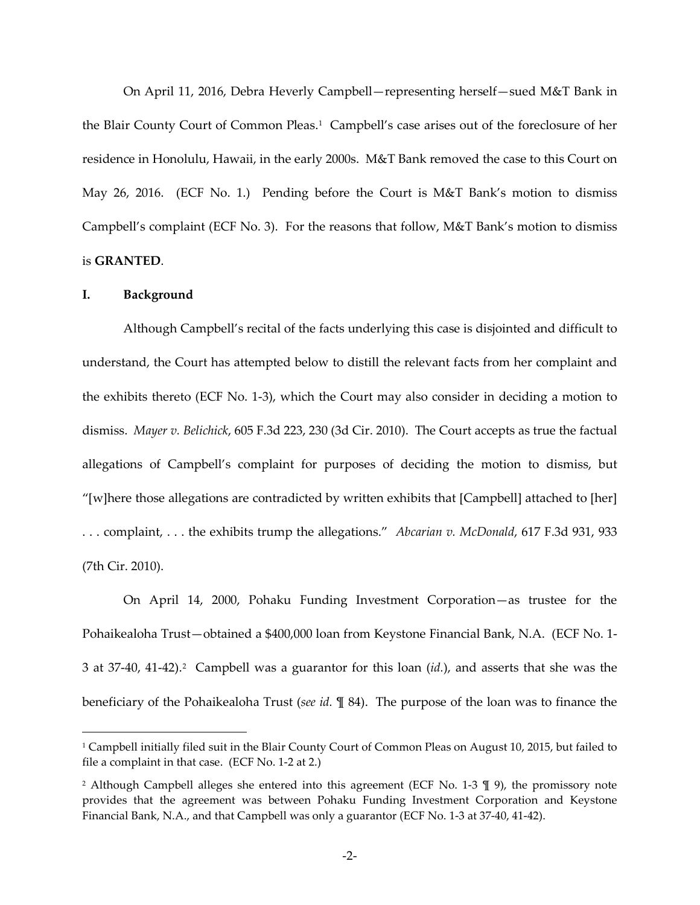On April 11, 2016, Debra Heverly Campbell—representing herself—sued M&T Bank in the Blair County Court of Common Pleas.<sup>[1](#page-1-0)</sup> Campbell's case arises out of the foreclosure of her residence in Honolulu, Hawaii, in the early 2000s. M&T Bank removed the case to this Court on May 26, 2016. (ECF No. 1.) Pending before the Court is M&T Bank's motion to dismiss Campbell's complaint (ECF No. 3). For the reasons that follow, M&T Bank's motion to dismiss is **GRANTED**.

#### **I. Background**

 $\overline{a}$ 

Although Campbell's recital of the facts underlying this case is disjointed and difficult to understand, the Court has attempted below to distill the relevant facts from her complaint and the exhibits thereto (ECF No. 1-3), which the Court may also consider in deciding a motion to dismiss. *Mayer v. Belichick*, 605 F.3d 223, 230 (3d Cir. 2010). The Court accepts as true the factual allegations of Campbell's complaint for purposes of deciding the motion to dismiss, but "[w]here those allegations are contradicted by written exhibits that  $[Campbell]$  attached to  $[her]$ . . . complaint, . . . the exhibits trump the allegations." *Abcarian v. McDonald*, 617 F.3d 931, 933 (7th Cir. 2010).

On April 14, 2000, Pohaku Funding Investment Corporation—as trustee for the Pohaikealoha Trust—obtained a \$400,000 loan from Keystone Financial Bank, N.A. (ECF No. 1- 3 at 37-40, 41-4[2](#page-1-1)).<sup>2</sup> Campbell was a guarantor for this loan (*id*.), and asserts that she was the beneficiary of the Pohaikealoha Trust (*see id.* ¶ 84). The purpose of the loan was to finance the

<span id="page-1-0"></span><sup>&</sup>lt;sup>1</sup> Campbell initially filed suit in the Blair County Court of Common Pleas on August 10, 2015, but failed to file a complaint in that case. (ECF No. 1-2 at 2.)

<span id="page-1-1"></span><sup>2</sup> Although Campbell alleges she entered into this agreement (ECF No. 1-3 ¶ 9), the promissory note provides that the agreement was between Pohaku Funding Investment Corporation and Keystone Financial Bank, N.A., and that Campbell was only a guarantor (ECF No. 1-3 at 37-40, 41-42).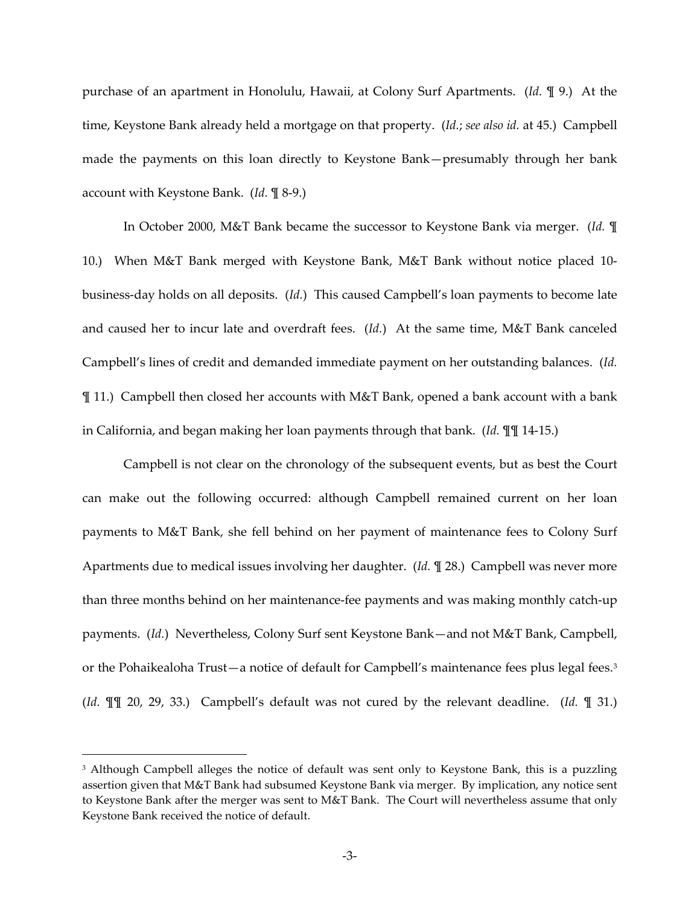purchase of an apartment in Honolulu, Hawaii, at Colony Surf Apartments. (*Id.* ¶ 9.) At the time, Keystone Bank already held a mortgage on that property. (*Id.*; *see also id.* at 45.) Campbell made the payments on this loan directly to Keystone Bank—presumably through her bank account with Keystone Bank. (*Id.* ¶ 8-9.)

In October 2000, M&T Bank became the successor to Keystone Bank via merger. (*Id.* ¶ 10.) When M&T Bank merged with Keystone Bank, M&T Bank without notice placed 10 business-day holds on all deposits. (*Id.*) This caused Campbell's loan payments to become late and caused her to incur late and overdraft fees. (*Id.*) At the same time, M&T Bank canceled Campbell's lines of credit and demanded immediate payment on her outstanding balances. (*Id.* ¶ 11.) Campbell then closed her accounts with M&T Bank, opened a bank account with a bank in California, and began making her loan payments through that bank. (*Id.* ¶¶ 14-15.)

Campbell is not clear on the chronology of the subsequent events, but as best the Court can make out the following occurred: although Campbell remained current on her loan payments to M&T Bank, she fell behind on her payment of maintenance fees to Colony Surf Apartments due to medical issues involving her daughter. (*Id.* ¶ 28.) Campbell was never more than three months behind on her maintenance-fee payments and was making monthly catch-up payments. (*Id.*) Nevertheless, Colony Surf sent Keystone Bank—and not M&T Bank, Campbell, or the Pohaikealoha Trust—a notice of default for Campbell's maintenance fees plus legal fees.<sup>[3](#page-2-0)</sup> (*Id.* ¶¶ 20, 29, 33.) Campbell's default was not cured by the relevant deadline. (*Id.* ¶ 31.)

 $\overline{a}$ 

<span id="page-2-0"></span><sup>&</sup>lt;sup>3</sup> Although Campbell alleges the notice of default was sent only to Keystone Bank, this is a puzzling assertion given that M&T Bank had subsumed Keystone Bank via merger. By implication, any notice sent to Keystone Bank after the merger was sent to M&T Bank. The Court will nevertheless assume that only Keystone Bank received the notice of default.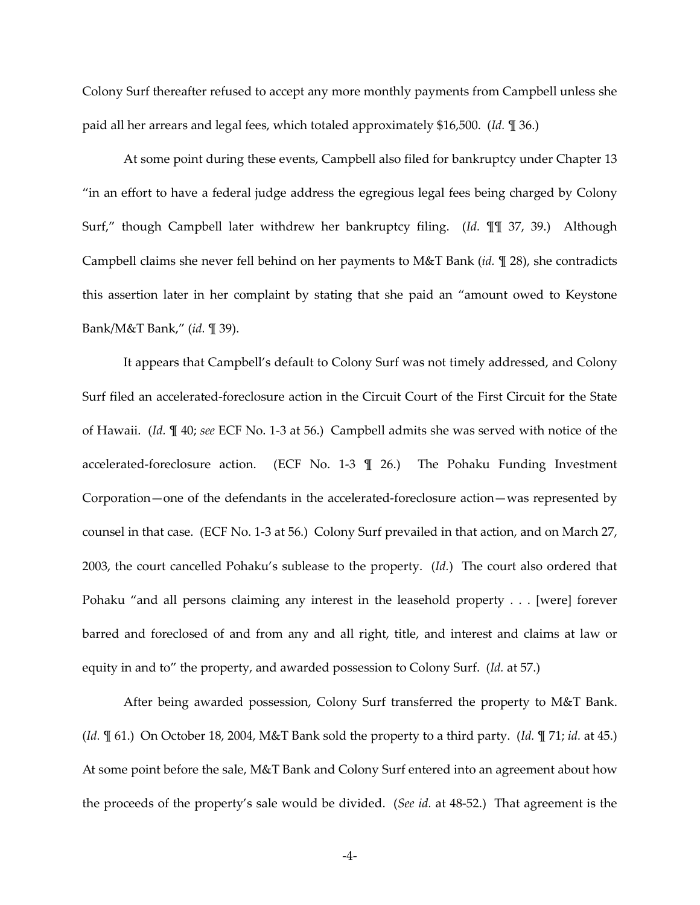Colony Surf thereafter refused to accept any more monthly payments from Campbell unless she paid all her arrears and legal fees, which totaled approximately \$16,500. (*Id.* ¶ 36.)

At some point during these events, Campbell also filed for bankruptcy under Chapter 13 "in an effort to have a federal judge address the egregious legal fees being charged by Colony Surf," though Campbell later withdrew her bankruptcy filing. (*Id.* ¶¶ 37, 39.) Although Campbell claims she never fell behind on her payments to M&T Bank (*id.* ¶ 28), she contradicts this assertion later in her complaint by stating that she paid an "amount owed to Keystone Bank/M&T Bank," (*id.* ¶ 39).

It appears that Campbell's default to Colony Surf was not timely addressed, and Colony Surf filed an accelerated-foreclosure action in the Circuit Court of the First Circuit for the State of Hawaii. (*Id.* ¶ 40; *see* ECF No. 1-3 at 56.) Campbell admits she was served with notice of the accelerated-foreclosure action. (ECF No. 1-3 ¶ 26.) The Pohaku Funding Investment Corporation—one of the defendants in the accelerated-foreclosure action—was represented by counsel in that case. (ECF No. 1-3 at 56.) Colony Surf prevailed in that action, and on March 27, 2003, the court cancelled Pohaku's sublease to the property. (*Id.*) The court also ordered that Pohaku "and all persons claiming any interest in the leasehold property . . . [were] forever barred and foreclosed of and from any and all right, title, and interest and claims at law or equity in and to" the property, and awarded possession to Colony Surf. (*Id.* at 57.)

After being awarded possession, Colony Surf transferred the property to M&T Bank. (*Id.* ¶ 61.) On October 18, 2004, M&T Bank sold the property to a third party. (*Id.* ¶ 71; *id.* at 45.) At some point before the sale, M&T Bank and Colony Surf entered into an agreement about how the proceeds of the property's sale would be divided. (*See id.* at 48-52.) That agreement is the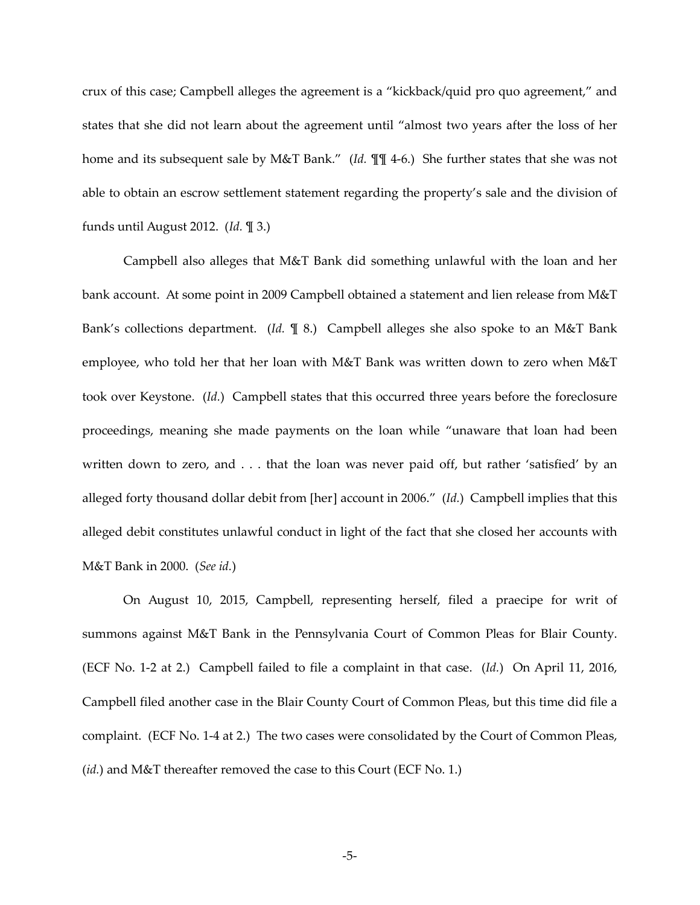crux of this case; Campbell alleges the agreement is a "kickback/quid pro quo agreement," and states that she did not learn about the agreement until "almost two years after the loss of her home and its subsequent sale by M&T Bank." (*Id.* ¶¶ 4-6.) She further states that she was not able to obtain an escrow settlement statement regarding the property's sale and the division of funds until August 2012. (*Id.* ¶ 3.)

Campbell also alleges that M&T Bank did something unlawful with the loan and her bank account. At some point in 2009 Campbell obtained a statement and lien release from M&T Bank's collections department. (*Id.* ¶ 8.) Campbell alleges she also spoke to an M&T Bank employee, who told her that her loan with M&T Bank was written down to zero when M&T took over Keystone. (*Id.*) Campbell states that this occurred three years before the foreclosure proceedings, meaning she made payments on the loan while "unaware that loan had been written down to zero, and . . . that the loan was never paid off, but rather 'satisfied' by an alleged forty thousand dollar debit from [her] account in 2006." (*Id.*) Campbell implies that this alleged debit constitutes unlawful conduct in light of the fact that she closed her accounts with M&T Bank in 2000. (*See id.*)

On August 10, 2015, Campbell, representing herself, filed a praecipe for writ of summons against M&T Bank in the Pennsylvania Court of Common Pleas for Blair County. (ECF No. 1-2 at 2.) Campbell failed to file a complaint in that case. (*Id.*) On April 11, 2016, Campbell filed another case in the Blair County Court of Common Pleas, but this time did file a complaint. (ECF No. 1-4 at 2.) The two cases were consolidated by the Court of Common Pleas, (*id.*) and M&T thereafter removed the case to this Court (ECF No. 1.)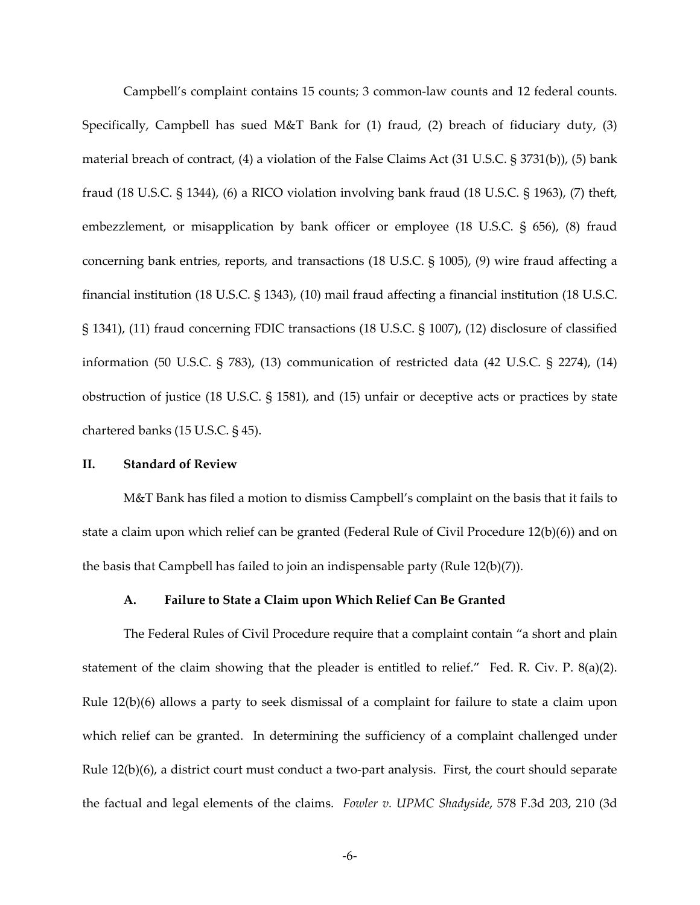Campbell's complaint contains 15 counts; 3 common-law counts and 12 federal counts. Specifically, Campbell has sued M&T Bank for (1) fraud, (2) breach of fiduciary duty, (3) material breach of contract, (4) a violation of the False Claims Act (31 U.S.C. § 3731(b)), (5) bank fraud (18 U.S.C. § 1344), (6) a RICO violation involving bank fraud (18 U.S.C. § 1963), (7) theft, embezzlement, or misapplication by bank officer or employee (18 U.S.C. § 656), (8) fraud concerning bank entries, reports, and transactions (18 U.S.C. § 1005), (9) wire fraud affecting a financial institution (18 U.S.C. § 1343), (10) mail fraud affecting a financial institution (18 U.S.C. § 1341), (11) fraud concerning FDIC transactions (18 U.S.C. § 1007), (12) disclosure of classified information (50 U.S.C. § 783), (13) communication of restricted data (42 U.S.C. § 2274), (14) obstruction of justice (18 U.S.C. § 1581), and (15) unfair or deceptive acts or practices by state chartered banks (15 U.S.C. § 45).

### **II. Standard of Review**

M&T Bank has filed a motion to dismiss Campbell's complaint on the basis that it fails to state a claim upon which relief can be granted (Federal Rule of Civil Procedure 12(b)(6)) and on the basis that Campbell has failed to join an indispensable party (Rule 12(b)(7)).

## **A. Failure to State a Claim upon Which Relief Can Be Granted**

The Federal Rules of Civil Procedure require that a complaint contain "a short and plain statement of the claim showing that the pleader is entitled to relief." Fed. R. Civ. P. 8(a)(2). Rule 12(b)(6) allows a party to seek dismissal of a complaint for failure to state a claim upon which relief can be granted. In determining the sufficiency of a complaint challenged under Rule 12(b)(6), a district court must conduct a two-part analysis. First, the court should separate the factual and legal elements of the claims. *Fowler v. UPMC Shadyside*, 578 F.3d 203, 210 (3d

-6-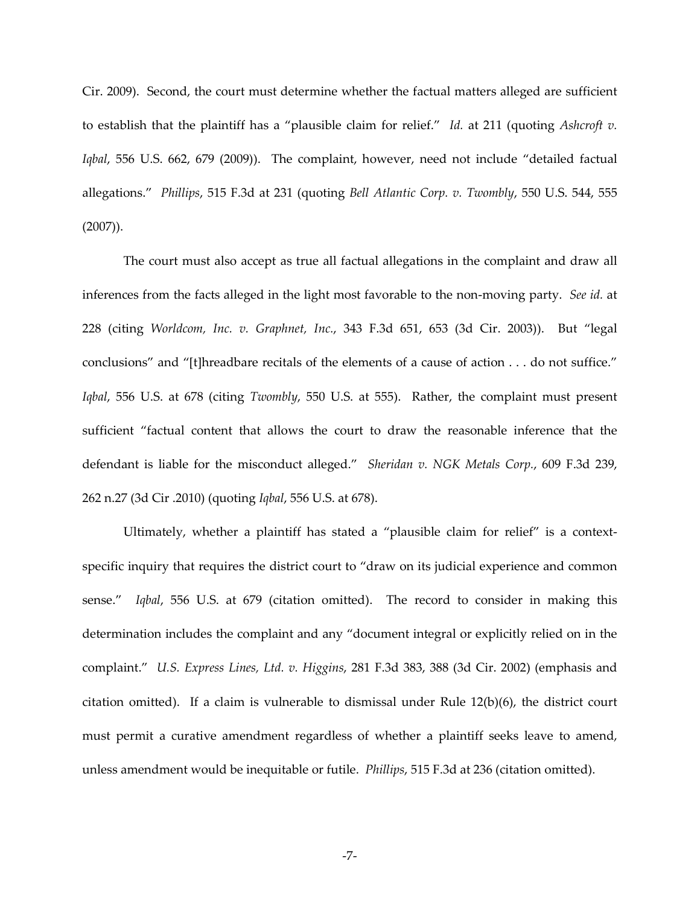Cir. 2009). Second, the court must determine whether the factual matters alleged are sufficient to establish that the plaintiff has a "plausible claim for relief." *Id.* at 211 (quoting *Ashcroft v. Iqbal*, 556 U.S. 662, 679 (2009)). The complaint, however, need not include "detailed factual allegations." *Phillips*, 515 F.3d at 231 (quoting *Bell Atlantic Corp. v. Twombly*, 550 U.S. 544, 555 (2007)).

The court must also accept as true all factual allegations in the complaint and draw all inferences from the facts alleged in the light most favorable to the non-moving party. *See id.* at 228 (citing *Worldcom, Inc. v. Graphnet, Inc.*, 343 F.3d 651, 653 (3d Cir. 2003)). But "legal conclusions" and "[t]hreadbare recitals of the elements of a cause of action . . . do not suffice." *Iqbal*, 556 U.S. at 678 (citing *Twombly*, 550 U.S. at 555). Rather, the complaint must present sufficient "factual content that allows the court to draw the reasonable inference that the defendant is liable for the misconduct alleged." *Sheridan v. NGK Metals Corp.*, 609 F.3d 239, 262 n.27 (3d Cir .2010) (quoting *Iqbal*, 556 U.S. at 678).

Ultimately, whether a plaintiff has stated a "plausible claim for relief" is a contextspecific inquiry that requires the district court to "draw on its judicial experience and common sense." *Iqbal*, 556 U.S. at 679 (citation omitted). The record to consider in making this determination includes the complaint and any "document integral or explicitly relied on in the complaint." *U.S. Express Lines, Ltd. v. Higgins*, 281 F.3d 383, 388 (3d Cir. 2002) (emphasis and citation omitted). If a claim is vulnerable to dismissal under Rule  $12(b)(6)$ , the district court must permit a curative amendment regardless of whether a plaintiff seeks leave to amend, unless amendment would be inequitable or futile. *Phillips*, 515 F.3d at 236 (citation omitted).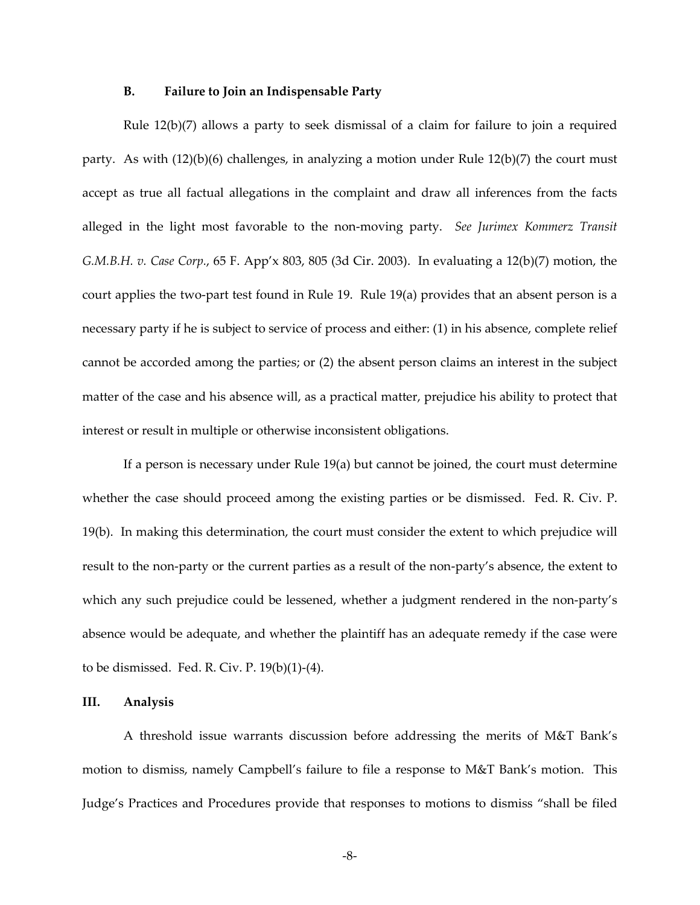#### **B. Failure to Join an Indispensable Party**

Rule 12(b)(7) allows a party to seek dismissal of a claim for failure to join a required party. As with  $(12)(b)(6)$  challenges, in analyzing a motion under Rule  $12(b)(7)$  the court must accept as true all factual allegations in the complaint and draw all inferences from the facts alleged in the light most favorable to the non-moving party. *See Jurimex Kommerz Transit G.M.B.H. v. Case Corp.*, 65 F. App'x 803, 805 (3d Cir. 2003). In evaluating a 12(b)(7) motion, the court applies the two-part test found in Rule 19. Rule 19(a) provides that an absent person is a necessary party if he is subject to service of process and either: (1) in his absence, complete relief cannot be accorded among the parties; or (2) the absent person claims an interest in the subject matter of the case and his absence will, as a practical matter, prejudice his ability to protect that interest or result in multiple or otherwise inconsistent obligations.

If a person is necessary under Rule 19(a) but cannot be joined, the court must determine whether the case should proceed among the existing parties or be dismissed. Fed. R. Civ. P. 19(b). In making this determination, the court must consider the extent to which prejudice will result to the non-party or the current parties as a result of the non-party's absence, the extent to which any such prejudice could be lessened, whether a judgment rendered in the non-party's absence would be adequate, and whether the plaintiff has an adequate remedy if the case were to be dismissed. Fed. R. Civ. P. 19(b)(1)-(4).

### **III. Analysis**

A threshold issue warrants discussion before addressing the merits of M&T Bank's motion to dismiss, namely Campbell's failure to file a response to M&T Bank's motion. This Judge's Practices and Procedures provide that responses to motions to dismiss "shall be filed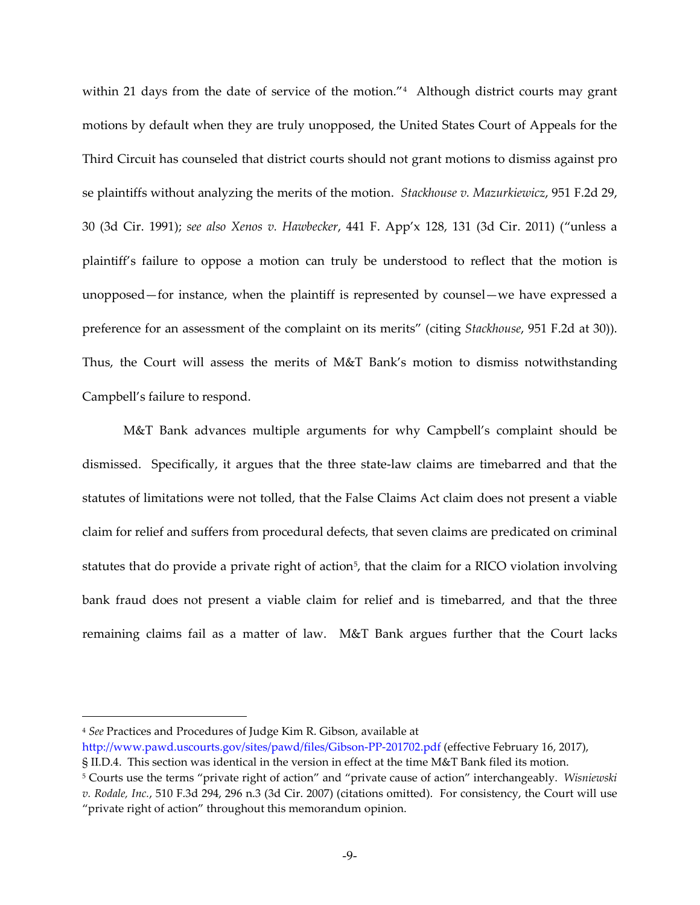within 21 days from the date of service of the motion."<sup>[4](#page-8-0)</sup> Although district courts may grant motions by default when they are truly unopposed, the United States Court of Appeals for the Third Circuit has counseled that district courts should not grant motions to dismiss against pro se plaintiffs without analyzing the merits of the motion. *Stackhouse v. Mazurkiewicz*, 951 F.2d 29, 30 (3d Cir. 1991); *see also Xenos v. Hawbecker*, 441 F. App'x 128, 131 (3d Cir. 2011) ("unless a plaintiff's failure to oppose a motion can truly be understood to reflect that the motion is unopposed—for instance, when the plaintiff is represented by counsel—we have expressed a preference for an assessment of the complaint on its merits" (citing *Stackhouse*, 951 F.2d at 30)). Thus, the Court will assess the merits of M&T Bank's motion to dismiss notwithstanding Campbell's failure to respond.

M&T Bank advances multiple arguments for why Campbell's complaint should be dismissed. Specifically, it argues that the three state-law claims are timebarred and that the statutes of limitations were not tolled, that the False Claims Act claim does not present a viable claim for relief and suffers from procedural defects, that seven claims are predicated on criminal statutes that do provide a private right of action<sup>[5](#page-8-1)</sup>, that the claim for a RICO violation involving bank fraud does not present a viable claim for relief and is timebarred, and that the three remaining claims fail as a matter of law. M&T Bank argues further that the Court lacks

 $\overline{a}$ 

<span id="page-8-0"></span><sup>4</sup> *See* Practices and Procedures of Judge Kim R. Gibson, available at

<http://www.pawd.uscourts.gov/sites/pawd/files/Gibson-PP-201702.pdf> (effective February 16, 2017),

<sup>§</sup> II.D.4. This section was identical in the version in effect at the time M&T Bank filed its motion.

<span id="page-8-1"></span><sup>5</sup> Courts use the terms "private right of action" and "private cause of action" interchangeably. *Wisniewski v. Rodale, Inc.*, 510 F.3d 294, 296 n.3 (3d Cir. 2007) (citations omitted). For consistency, the Court will use "private right of action" throughout this memorandum opinion.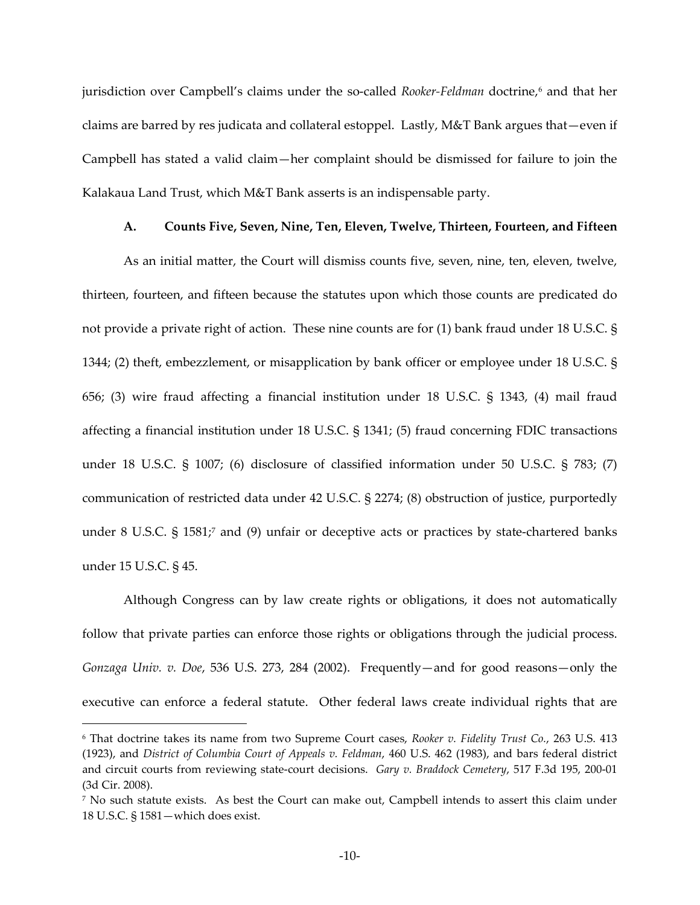jurisdiction over Campbell's claims under the so-called *Rooker-Feldman* doctrine, [6](#page-9-0) and that her claims are barred by res judicata and collateral estoppel. Lastly, M&T Bank argues that—even if Campbell has stated a valid claim—her complaint should be dismissed for failure to join the Kalakaua Land Trust, which M&T Bank asserts is an indispensable party.

## **A. Counts Five, Seven, Nine, Ten, Eleven, Twelve, Thirteen, Fourteen, and Fifteen**

As an initial matter, the Court will dismiss counts five, seven, nine, ten, eleven, twelve, thirteen, fourteen, and fifteen because the statutes upon which those counts are predicated do not provide a private right of action. These nine counts are for (1) bank fraud under 18 U.S.C. § 1344; (2) theft, embezzlement, or misapplication by bank officer or employee under 18 U.S.C. § 656; (3) wire fraud affecting a financial institution under 18 U.S.C. § 1343, (4) mail fraud affecting a financial institution under 18 U.S.C. § 1341; (5) fraud concerning FDIC transactions under 18 U.S.C. § 1007; (6) disclosure of classified information under 50 U.S.C. § 783; (7) communication of restricted data under 42 U.S.C. § 2274; (8) obstruction of justice, purportedly under 8 U.S.C. § 1581;<sup>[7](#page-9-1)</sup> and (9) unfair or deceptive acts or practices by state-chartered banks under 15 U.S.C. § 45.

Although Congress can by law create rights or obligations, it does not automatically follow that private parties can enforce those rights or obligations through the judicial process. *Gonzaga Univ. v. Doe*, 536 U.S. 273, 284 (2002). Frequently—and for good reasons—only the executive can enforce a federal statute. Other federal laws create individual rights that are

 $\overline{a}$ 

<span id="page-9-0"></span><sup>6</sup> That doctrine takes its name from two Supreme Court cases, *Rooker v. Fidelity Trust Co.*, 263 U.S. 413 (1923), and *District of Columbia Court of Appeals v. Feldman*, 460 U.S. 462 (1983), and bars federal district and circuit courts from reviewing state-court decisions. *Gary v. Braddock Cemetery*, 517 F.3d 195, 200-01 (3d Cir. 2008).

<span id="page-9-1"></span><sup>7</sup> No such statute exists. As best the Court can make out, Campbell intends to assert this claim under 18 U.S.C. § 1581—which does exist.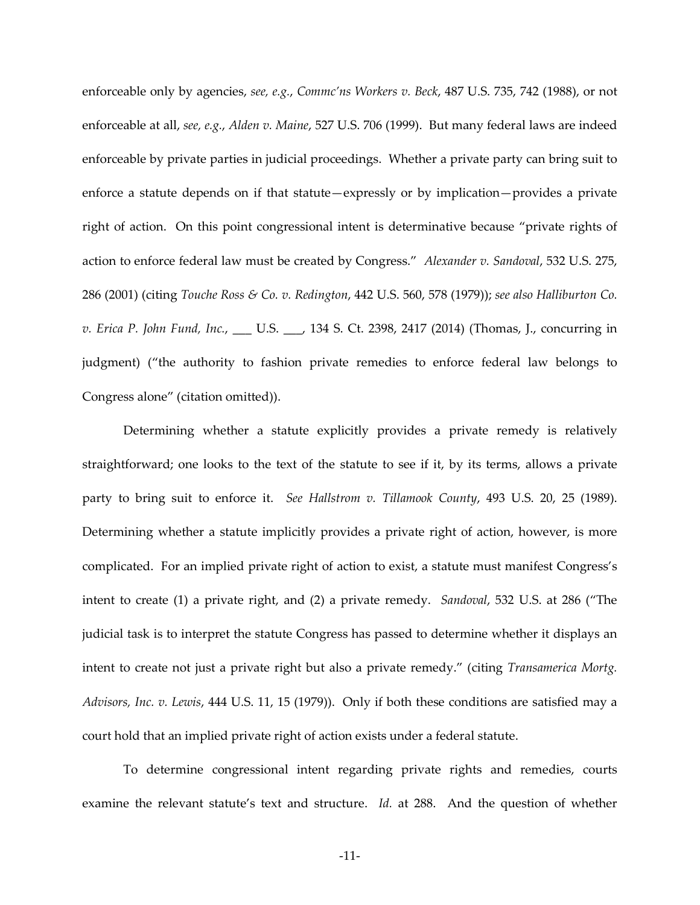enforceable only by agencies, *see, e.g.*, *Commc'ns Workers v. Beck*, 487 U.S. 735, 742 (1988), or not enforceable at all, *see, e.g.*, *Alden v. Maine*, 527 U.S. 706 (1999). But many federal laws are indeed enforceable by private parties in judicial proceedings. Whether a private party can bring suit to enforce a statute depends on if that statute—expressly or by implication—provides a private right of action. On this point congressional intent is determinative because "private rights of action to enforce federal law must be created by Congress." *Alexander v. Sandoval*, 532 U.S. 275, 286 (2001) (citing *Touche Ross & Co. v. Redington*, 442 U.S. 560, 578 (1979)); *see also Halliburton Co. v. Erica P. John Fund, Inc.*, \_\_\_ U.S. \_\_\_, 134 S. Ct. 2398, 2417 (2014) (Thomas, J., concurring in judgment) ("the authority to fashion private remedies to enforce federal law belongs to Congress alone" (citation omitted)).

Determining whether a statute explicitly provides a private remedy is relatively straightforward; one looks to the text of the statute to see if it, by its terms, allows a private party to bring suit to enforce it. *See Hallstrom v. Tillamook County*, 493 U.S. 20, 25 (1989). Determining whether a statute implicitly provides a private right of action, however, is more complicated. For an implied private right of action to exist, a statute must manifest Congress's intent to create (1) a private right, and (2) a private remedy. *Sandoval*, 532 U.S. at 286 ("The judicial task is to interpret the statute Congress has passed to determine whether it displays an intent to create not just a private right but also a private remedy." (citing *Transamerica Mortg. Advisors, Inc. v. Lewis*, 444 U.S. 11, 15 (1979)). Only if both these conditions are satisfied may a court hold that an implied private right of action exists under a federal statute.

To determine congressional intent regarding private rights and remedies, courts examine the relevant statute's text and structure. *Id.* at 288. And the question of whether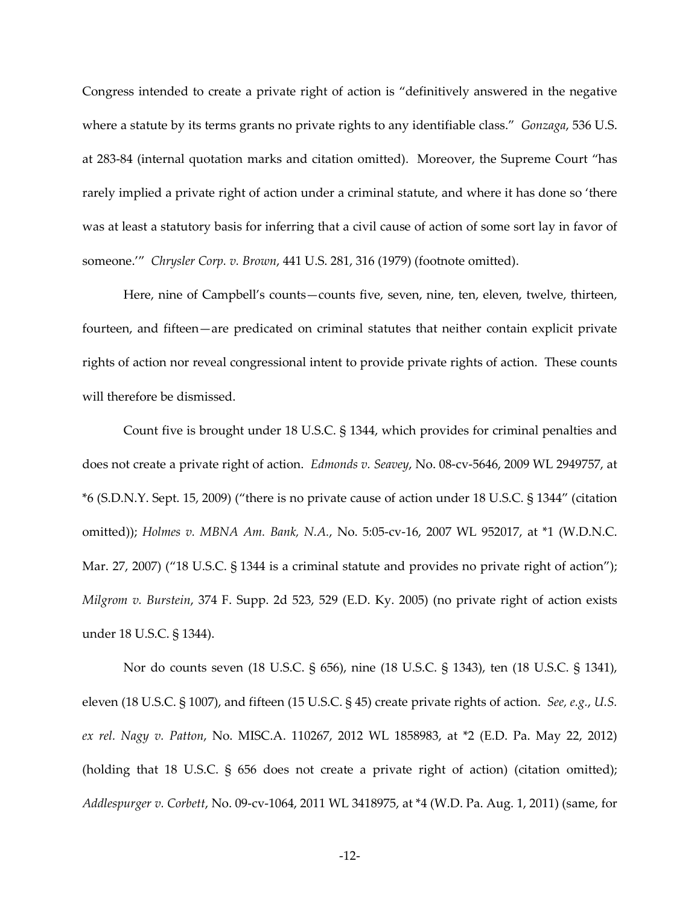Congress intended to create a private right of action is "definitively answered in the negative where a statute by its terms grants no private rights to any identifiable class." *Gonzaga*, 536 U.S. at 283-84 (internal quotation marks and citation omitted). Moreover, the Supreme Court "has rarely implied a private right of action under a criminal statute, and where it has done so 'there was at least a statutory basis for inferring that a civil cause of action of some sort lay in favor of someone.'" *Chrysler Corp. v. Brown*, 441 U.S. 281, 316 (1979) (footnote omitted).

Here, nine of Campbell's counts—counts five, seven, nine, ten, eleven, twelve, thirteen, fourteen, and fifteen—are predicated on criminal statutes that neither contain explicit private rights of action nor reveal congressional intent to provide private rights of action. These counts will therefore be dismissed.

Count five is brought under 18 U.S.C. § 1344, which provides for criminal penalties and does not create a private right of action. *Edmonds v. Seavey*, No. 08-cv-5646, 2009 WL 2949757, at \*6 (S.D.N.Y. Sept. 15, 2009) ("there is no private cause of action under 18 U.S.C. § 1344" (citation omitted)); *Holmes v. MBNA Am. Bank, N.A.*, No. 5:05-cv-16, 2007 WL 952017, at \*1 (W.D.N.C. Mar. 27, 2007) ("18 U.S.C. § 1344 is a criminal statute and provides no private right of action"); *Milgrom v. Burstein*, 374 F. Supp. 2d 523, 529 (E.D. Ky. 2005) (no private right of action exists under 18 U.S.C. § 1344).

Nor do counts seven (18 U.S.C. § 656), nine (18 U.S.C. § 1343), ten (18 U.S.C. § 1341), eleven (18 U.S.C. § 1007), and fifteen (15 U.S.C. § 45) create private rights of action. *See, e.g.*, *U.S. ex rel. Nagy v. Patton*, No. MISC.A. 110267, 2012 WL 1858983, at \*2 (E.D. Pa. May 22, 2012) (holding that 18 U.S.C. § 656 does not create a private right of action) (citation omitted); *Addlespurger v. Corbett*, No. 09-cv-1064, 2011 WL 3418975, at \*4 (W.D. Pa. Aug. 1, 2011) (same, for

-12-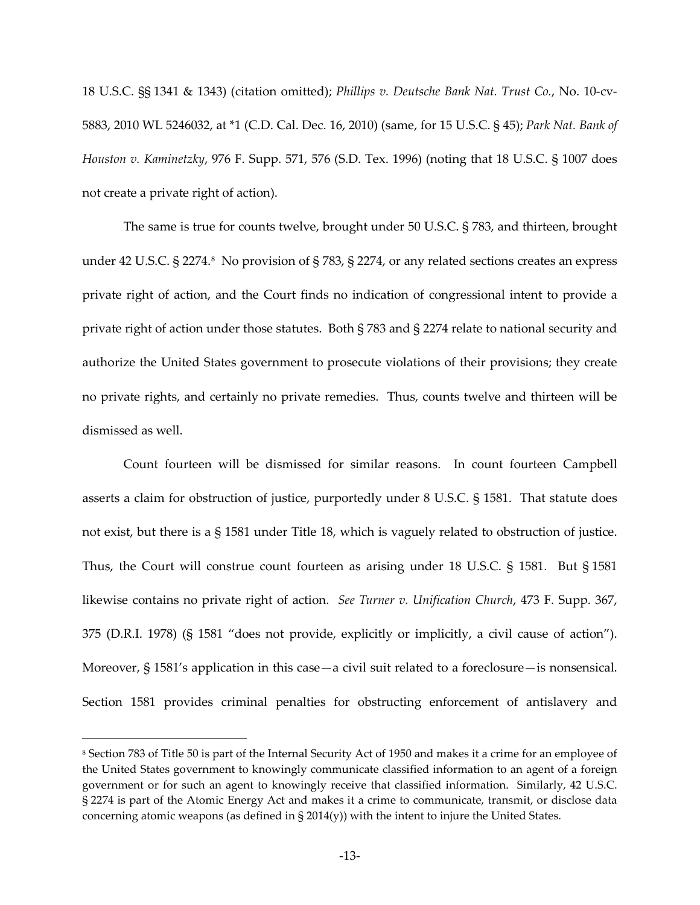18 U.S.C. §§ 1341 & 1343) (citation omitted); *Phillips v. Deutsche Bank Nat. Trust Co.*, No. 10-cv-5883, 2010 WL 5246032, at \*1 (C.D. Cal. Dec. 16, 2010) (same, for 15 U.S.C. § 45); *Park Nat. Bank of Houston v. Kaminetzky*, 976 F. Supp. 571, 576 (S.D. Tex. 1996) (noting that 18 U.S.C. § 1007 does not create a private right of action).

The same is true for counts twelve, brought under 50 U.S.C. § 783, and thirteen, brought under 42 U.S.C. § 2274.[8](#page-12-0) No provision of § 783, § 2274, or any related sections creates an express private right of action, and the Court finds no indication of congressional intent to provide a private right of action under those statutes. Both § 783 and § 2274 relate to national security and authorize the United States government to prosecute violations of their provisions; they create no private rights, and certainly no private remedies. Thus, counts twelve and thirteen will be dismissed as well.

Count fourteen will be dismissed for similar reasons. In count fourteen Campbell asserts a claim for obstruction of justice, purportedly under 8 U.S.C. § 1581. That statute does not exist, but there is a § 1581 under Title 18, which is vaguely related to obstruction of justice. Thus, the Court will construe count fourteen as arising under 18 U.S.C. § 1581. But § 1581 likewise contains no private right of action. *See Turner v. Unification Church*, 473 F. Supp. 367, 375 (D.R.I. 1978) (§ 1581 "does not provide, explicitly or implicitly, a civil cause of action"). Moreover, § 1581's application in this case—a civil suit related to a foreclosure—is nonsensical. Section 1581 provides criminal penalties for obstructing enforcement of antislavery and

 $\overline{a}$ 

<span id="page-12-0"></span><sup>8</sup> Section 783 of Title 50 is part of the Internal Security Act of 1950 and makes it a crime for an employee of the United States government to knowingly communicate classified information to an agent of a foreign government or for such an agent to knowingly receive that classified information. Similarly, 42 U.S.C. § 2274 is part of the Atomic Energy Act and makes it a crime to communicate, transmit, or disclose data concerning atomic weapons (as defined in  $\S 2014(y)$ ) with the intent to injure the United States.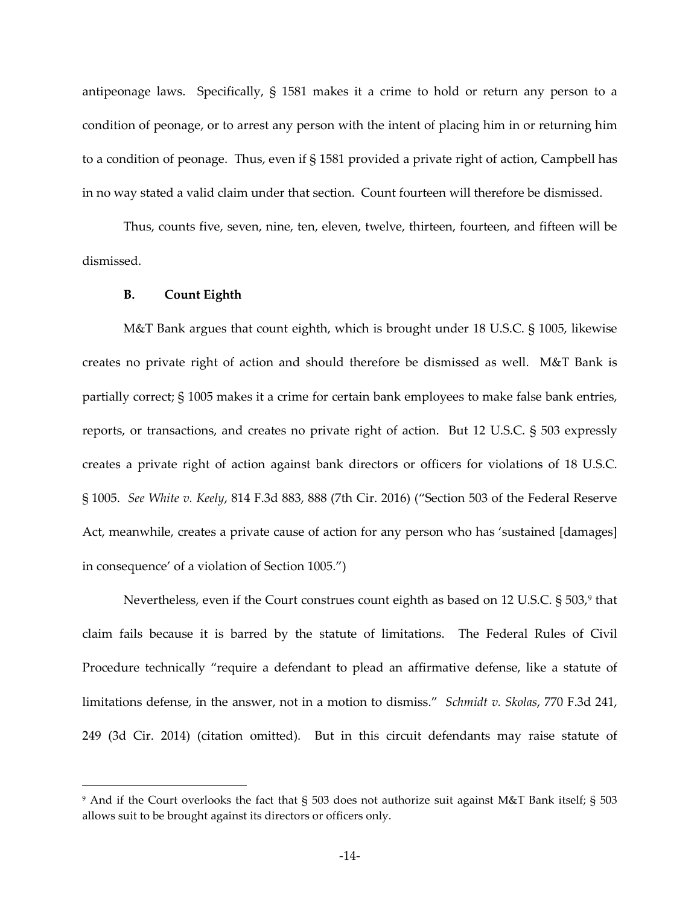antipeonage laws. Specifically, § 1581 makes it a crime to hold or return any person to a condition of peonage, or to arrest any person with the intent of placing him in or returning him to a condition of peonage. Thus, even if § 1581 provided a private right of action, Campbell has in no way stated a valid claim under that section. Count fourteen will therefore be dismissed.

Thus, counts five, seven, nine, ten, eleven, twelve, thirteen, fourteen, and fifteen will be dismissed.

## **B. Count Eighth**

 $\overline{a}$ 

M&T Bank argues that count eighth, which is brought under 18 U.S.C. § 1005, likewise creates no private right of action and should therefore be dismissed as well. M&T Bank is partially correct; § 1005 makes it a crime for certain bank employees to make false bank entries, reports, or transactions, and creates no private right of action. But 12 U.S.C. § 503 expressly creates a private right of action against bank directors or officers for violations of 18 U.S.C. § 1005. *See White v. Keely*, 814 F.3d 883, 888 (7th Cir. 2016) ("Section 503 of the Federal Reserve Act, meanwhile, creates a private cause of action for any person who has 'sustained [damages] in consequence' of a violation of Section 1005.")

Nevertheless, even if the Court construes count eighth as based on 12 U.S.C.  $\S$  503, $^{\circ}$  that claim fails because it is barred by the statute of limitations. The Federal Rules of Civil Procedure technically "require a defendant to plead an affirmative defense, like a statute of limitations defense, in the answer, not in a motion to dismiss." *Schmidt v. Skolas*, 770 F.3d 241, 249 (3d Cir. 2014) (citation omitted). But in this circuit defendants may raise statute of

<span id="page-13-0"></span><sup>9</sup> And if the Court overlooks the fact that § 503 does not authorize suit against M&T Bank itself; § 503 allows suit to be brought against its directors or officers only.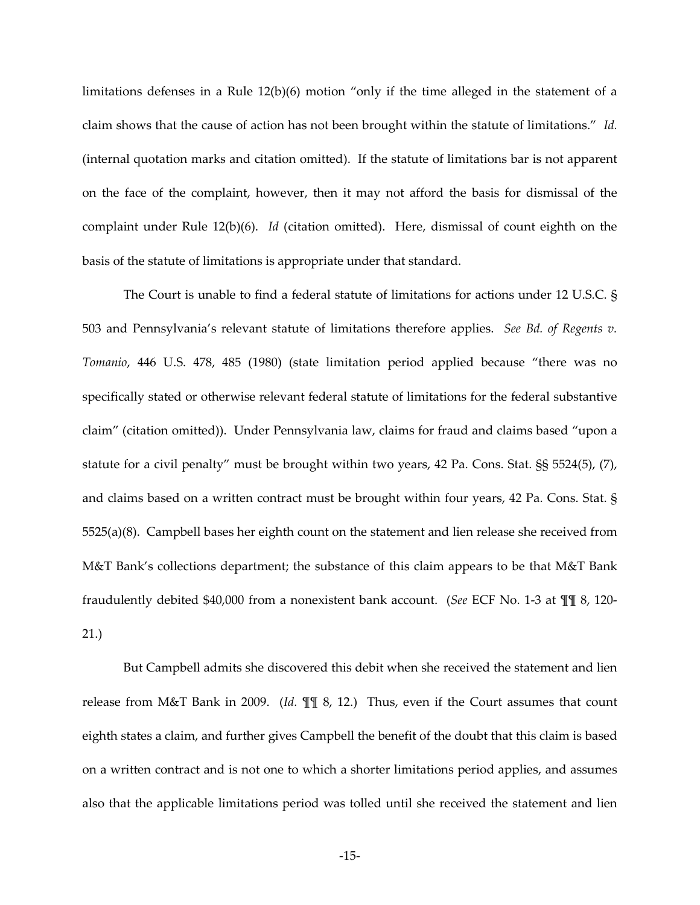limitations defenses in a Rule 12(b)(6) motion "only if the time alleged in the statement of a claim shows that the cause of action has not been brought within the statute of limitations." *Id.* (internal quotation marks and citation omitted). If the statute of limitations bar is not apparent on the face of the complaint, however, then it may not afford the basis for dismissal of the complaint under Rule 12(b)(6). *Id* (citation omitted). Here, dismissal of count eighth on the basis of the statute of limitations is appropriate under that standard.

The Court is unable to find a federal statute of limitations for actions under 12 U.S.C. § 503 and Pennsylvania's relevant statute of limitations therefore applies. *See Bd. of Regents v. Tomanio*, 446 U.S. 478, 485 (1980) (state limitation period applied because "there was no specifically stated or otherwise relevant federal statute of limitations for the federal substantive claim" (citation omitted)). Under Pennsylvania law, claims for fraud and claims based "upon a statute for a civil penalty" must be brought within two years, 42 Pa. Cons. Stat. §§ 5524(5), (7), and claims based on a written contract must be brought within four years, 42 Pa. Cons. Stat. § 5525(a)(8). Campbell bases her eighth count on the statement and lien release she received from M&T Bank's collections department; the substance of this claim appears to be that M&T Bank fraudulently debited \$40,000 from a nonexistent bank account. (*See* ECF No. 1-3 at ¶¶ 8, 120- 21.)

But Campbell admits she discovered this debit when she received the statement and lien release from M&T Bank in 2009. (*Id.* ¶¶ 8, 12.) Thus, even if the Court assumes that count eighth states a claim, and further gives Campbell the benefit of the doubt that this claim is based on a written contract and is not one to which a shorter limitations period applies, and assumes also that the applicable limitations period was tolled until she received the statement and lien

-15-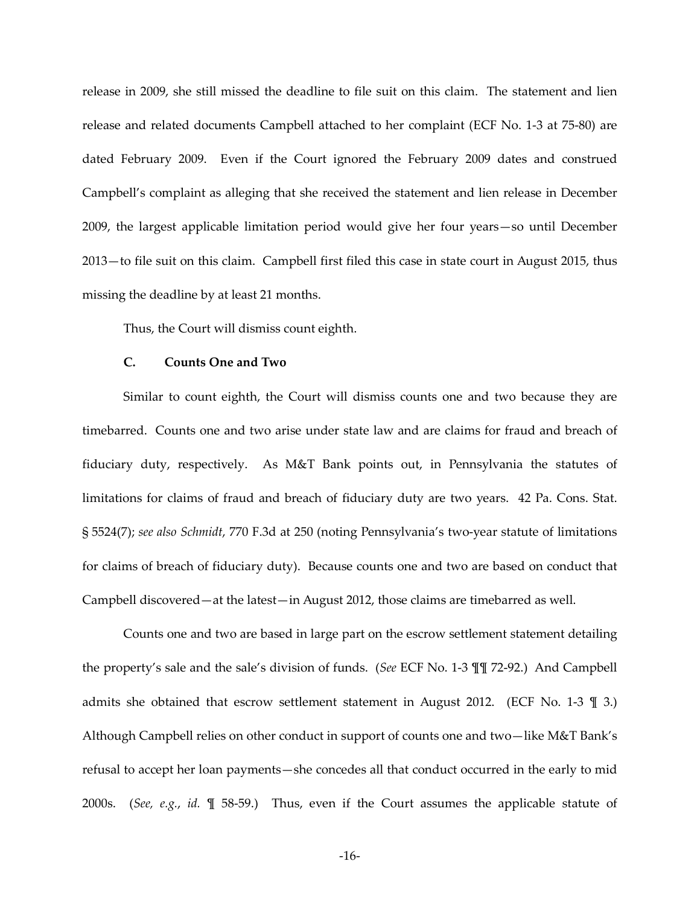release in 2009, she still missed the deadline to file suit on this claim. The statement and lien release and related documents Campbell attached to her complaint (ECF No. 1-3 at 75-80) are dated February 2009. Even if the Court ignored the February 2009 dates and construed Campbell's complaint as alleging that she received the statement and lien release in December 2009, the largest applicable limitation period would give her four years—so until December 2013—to file suit on this claim. Campbell first filed this case in state court in August 2015, thus missing the deadline by at least 21 months.

Thus, the Court will dismiss count eighth.

#### **C. Counts One and Two**

Similar to count eighth, the Court will dismiss counts one and two because they are timebarred. Counts one and two arise under state law and are claims for fraud and breach of fiduciary duty, respectively. As M&T Bank points out, in Pennsylvania the statutes of limitations for claims of fraud and breach of fiduciary duty are two years. 42 Pa. Cons. Stat. § 5524(7); *see also Schmidt*, 770 F.3d at 250 (noting Pennsylvania's two-year statute of limitations for claims of breach of fiduciary duty). Because counts one and two are based on conduct that Campbell discovered—at the latest—in August 2012, those claims are timebarred as well.

Counts one and two are based in large part on the escrow settlement statement detailing the property's sale and the sale's division of funds. (*See* ECF No. 1-3 ¶¶ 72-92.) And Campbell admits she obtained that escrow settlement statement in August 2012. (ECF No. 1-3  $\parallel$  3.) Although Campbell relies on other conduct in support of counts one and two—like M&T Bank's refusal to accept her loan payments—she concedes all that conduct occurred in the early to mid 2000s. (*See, e.g.*, *id.* ¶ 58-59.) Thus, even if the Court assumes the applicable statute of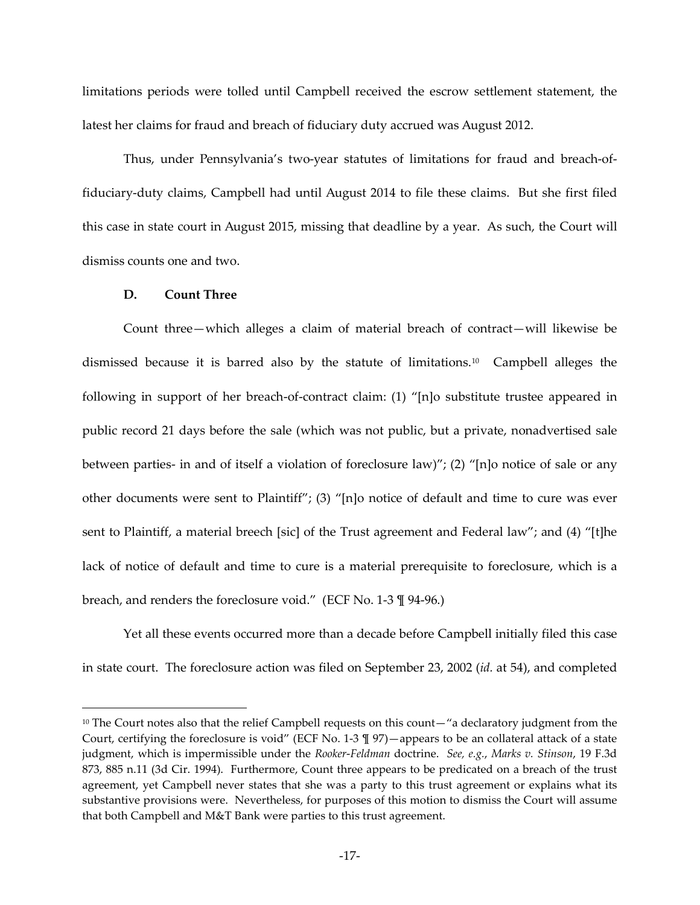limitations periods were tolled until Campbell received the escrow settlement statement, the latest her claims for fraud and breach of fiduciary duty accrued was August 2012.

Thus, under Pennsylvania's two-year statutes of limitations for fraud and breach-offiduciary-duty claims, Campbell had until August 2014 to file these claims. But she first filed this case in state court in August 2015, missing that deadline by a year. As such, the Court will dismiss counts one and two.

## **D. Count Three**

 $\overline{a}$ 

Count three—which alleges a claim of material breach of contract—will likewise be dismissed because it is barred also by the statute of limitations. [10](#page-16-0) Campbell alleges the following in support of her breach-of-contract claim: (1) "[n]o substitute trustee appeared in public record 21 days before the sale (which was not public, but a private, nonadvertised sale between parties- in and of itself a violation of foreclosure law)"; (2) "[n]o notice of sale or any other documents were sent to Plaintiff"; (3) "[n]o notice of default and time to cure was ever sent to Plaintiff, a material breech [sic] of the Trust agreement and Federal law"; and (4) "[t]he lack of notice of default and time to cure is a material prerequisite to foreclosure, which is a breach, and renders the foreclosure void." (ECF No. 1-3 ¶ 94-96.)

Yet all these events occurred more than a decade before Campbell initially filed this case in state court. The foreclosure action was filed on September 23, 2002 (*id.* at 54), and completed

<span id="page-16-0"></span><sup>&</sup>lt;sup>10</sup> The Court notes also that the relief Campbell requests on this count—"a declaratory judgment from the Court, certifying the foreclosure is void" (ECF No. 1-3  $\parallel$  97) — appears to be an collateral attack of a state judgment, which is impermissible under the *Rooker*-*Feldman* doctrine. *See, e.g.*, *Marks v. Stinson*, 19 F.3d 873, 885 n.11 (3d Cir. 1994). Furthermore, Count three appears to be predicated on a breach of the trust agreement, yet Campbell never states that she was a party to this trust agreement or explains what its substantive provisions were. Nevertheless, for purposes of this motion to dismiss the Court will assume that both Campbell and M&T Bank were parties to this trust agreement.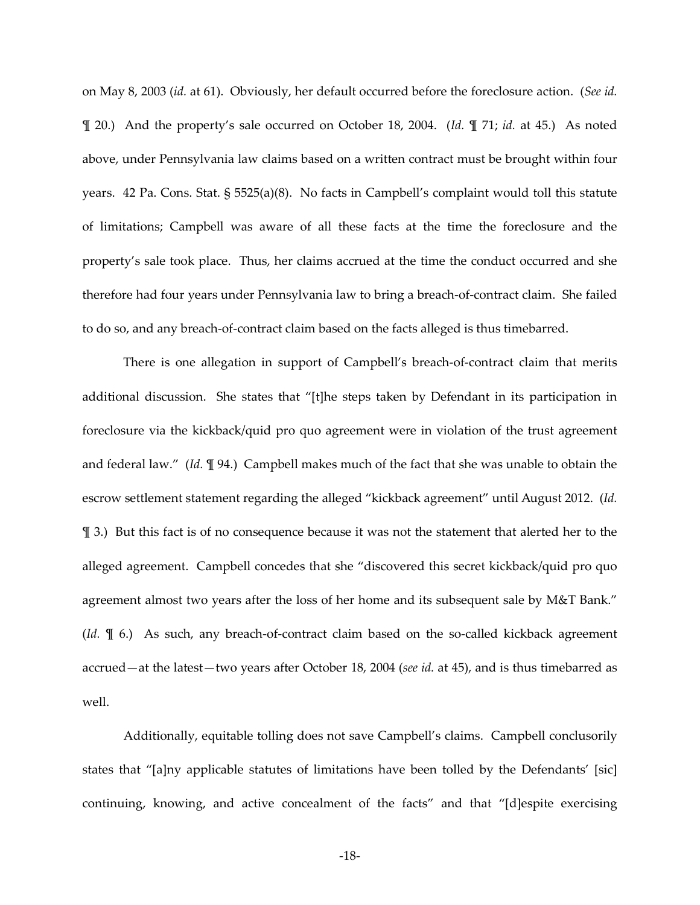on May 8, 2003 (*id.* at 61). Obviously, her default occurred before the foreclosure action. (*See id.* ¶ 20.) And the property's sale occurred on October 18, 2004. (*Id.* ¶ 71; *id.* at 45.) As noted above, under Pennsylvania law claims based on a written contract must be brought within four years. 42 Pa. Cons. Stat. § 5525(a)(8). No facts in Campbell's complaint would toll this statute of limitations; Campbell was aware of all these facts at the time the foreclosure and the property's sale took place. Thus, her claims accrued at the time the conduct occurred and she therefore had four years under Pennsylvania law to bring a breach-of-contract claim. She failed to do so, and any breach-of-contract claim based on the facts alleged is thus timebarred.

There is one allegation in support of Campbell's breach-of-contract claim that merits additional discussion. She states that "[t]he steps taken by Defendant in its participation in foreclosure via the kickback/quid pro quo agreement were in violation of the trust agreement and federal law." (*Id.* ¶ 94.) Campbell makes much of the fact that she was unable to obtain the escrow settlement statement regarding the alleged "kickback agreement" until August 2012. (*Id.* ¶ 3.) But this fact is of no consequence because it was not the statement that alerted her to the alleged agreement. Campbell concedes that she "discovered this secret kickback/quid pro quo agreement almost two years after the loss of her home and its subsequent sale by M&T Bank." (*Id.* ¶ 6.) As such, any breach-of-contract claim based on the so-called kickback agreement accrued—at the latest—two years after October 18, 2004 (*see id.* at 45), and is thus timebarred as well.

Additionally, equitable tolling does not save Campbell's claims. Campbell conclusorily states that "[a]ny applicable statutes of limitations have been tolled by the Defendants' [sic] continuing, knowing, and active concealment of the facts" and that "[d]espite exercising

-18-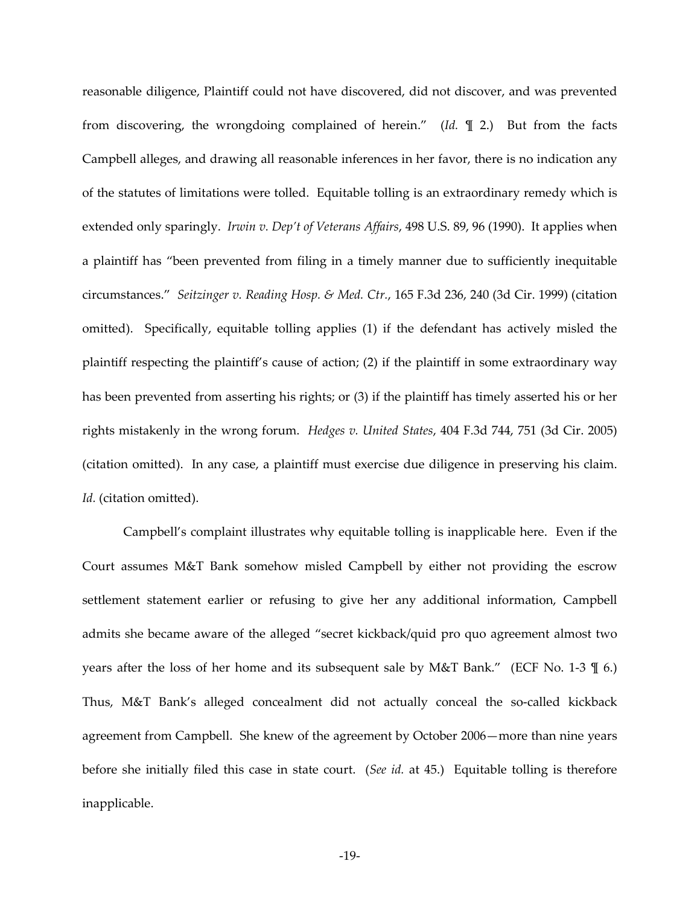reasonable diligence, Plaintiff could not have discovered, did not discover, and was prevented from discovering, the wrongdoing complained of herein." (*Id.* ¶ 2.) But from the facts Campbell alleges, and drawing all reasonable inferences in her favor, there is no indication any of the statutes of limitations were tolled. Equitable tolling is an extraordinary remedy which is extended only sparingly. *Irwin v. Dep't of Veterans Affairs*, 498 U.S. 89, 96 (1990). It applies when a plaintiff has "been prevented from filing in a timely manner due to sufficiently inequitable circumstances." *Seitzinger v. Reading Hosp. & Med. Ctr.*, 165 F.3d 236, 240 (3d Cir. 1999) (citation omitted). Specifically, equitable tolling applies (1) if the defendant has actively misled the plaintiff respecting the plaintiff's cause of action; (2) if the plaintiff in some extraordinary way has been prevented from asserting his rights; or (3) if the plaintiff has timely asserted his or her rights mistakenly in the wrong forum. *Hedges v. United States*, 404 F.3d 744, 751 (3d Cir. 2005) (citation omitted). In any case, a plaintiff must exercise due diligence in preserving his claim. *Id.* (citation omitted).

Campbell's complaint illustrates why equitable tolling is inapplicable here. Even if the Court assumes M&T Bank somehow misled Campbell by either not providing the escrow settlement statement earlier or refusing to give her any additional information, Campbell admits she became aware of the alleged "secret kickback/quid pro quo agreement almost two years after the loss of her home and its subsequent sale by M&T Bank." (ECF No. 1-3 ¶ 6.) Thus, M&T Bank's alleged concealment did not actually conceal the so-called kickback agreement from Campbell. She knew of the agreement by October 2006—more than nine years before she initially filed this case in state court. (*See id.* at 45.) Equitable tolling is therefore inapplicable.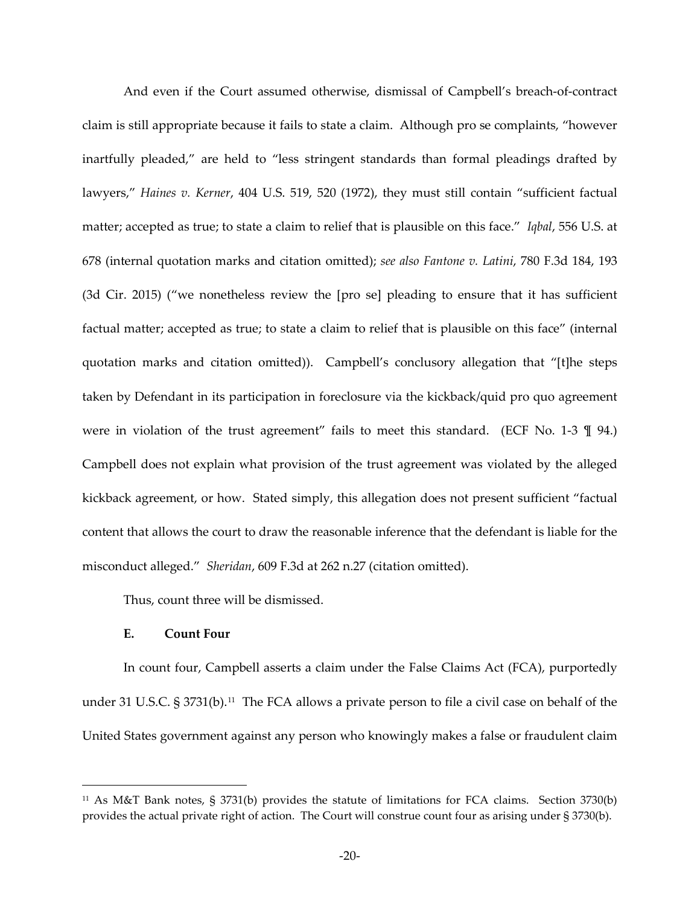And even if the Court assumed otherwise, dismissal of Campbell's breach-of-contract claim is still appropriate because it fails to state a claim. Although pro se complaints, "however inartfully pleaded," are held to "less stringent standards than formal pleadings drafted by lawyers," *Haines v. Kerner*, 404 U.S. 519, 520 (1972), they must still contain "sufficient factual matter; accepted as true; to state a claim to relief that is plausible on this face." *Iqbal*, 556 U.S. at 678 (internal quotation marks and citation omitted); *see also Fantone v. Latini*, 780 F.3d 184, 193 (3d Cir. 2015) ("we nonetheless review the [pro se] pleading to ensure that it has sufficient factual matter; accepted as true; to state a claim to relief that is plausible on this face" (internal quotation marks and citation omitted)). Campbell's conclusory allegation that "[t]he steps taken by Defendant in its participation in foreclosure via the kickback/quid pro quo agreement were in violation of the trust agreement" fails to meet this standard. (ECF No. 1-3  $\mathbb{I}$  94.) Campbell does not explain what provision of the trust agreement was violated by the alleged kickback agreement, or how. Stated simply, this allegation does not present sufficient "factual content that allows the court to draw the reasonable inference that the defendant is liable for the misconduct alleged." *Sheridan*, 609 F.3d at 262 n.27 (citation omitted).

Thus, count three will be dismissed.

## **E. Count Four**

l.

In count four, Campbell asserts a claim under the False Claims Act (FCA), purportedly under 31 U.S.C. § 3731(b).<sup>[11](#page-19-0)</sup> The FCA allows a private person to file a civil case on behalf of the United States government against any person who knowingly makes a false or fraudulent claim

<span id="page-19-0"></span><sup>11</sup> As M&T Bank notes, § 3731(b) provides the statute of limitations for FCA claims. Section 3730(b) provides the actual private right of action. The Court will construe count four as arising under § 3730(b).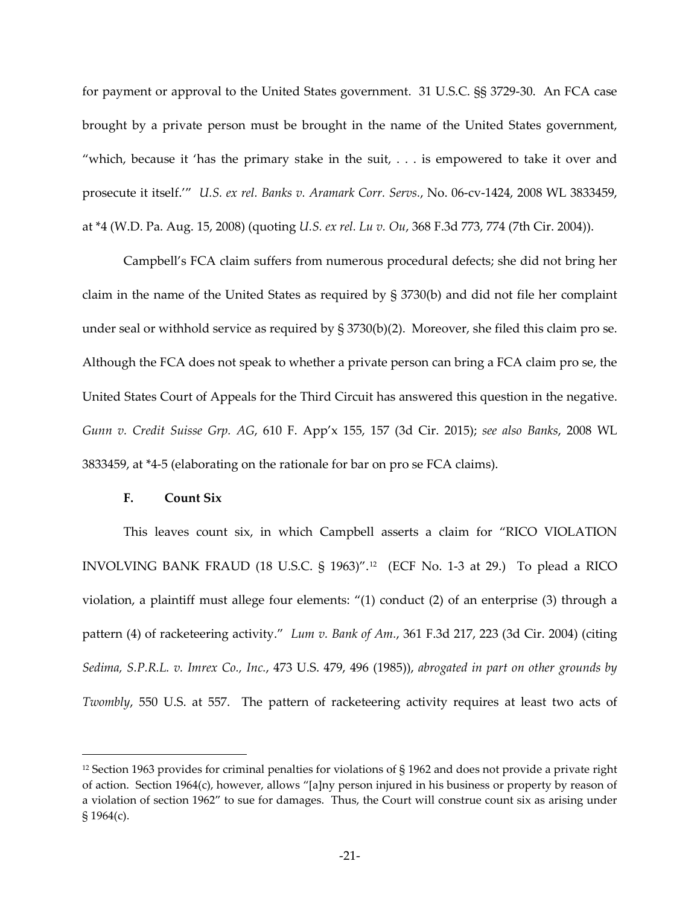for payment or approval to the United States government. 31 U.S.C. §§ 3729-30. An FCA case brought by a private person must be brought in the name of the United States government, "which, because it 'has the primary stake in the suit, . . . is empowered to take it over and prosecute it itself.'" *U.S. ex rel. Banks v. Aramark Corr. Servs.*, No. 06-cv-1424, 2008 WL 3833459, at \*4 (W.D. Pa. Aug. 15, 2008) (quoting *U.S. ex rel. Lu v. Ou*, 368 F.3d 773, 774 (7th Cir. 2004)).

Campbell's FCA claim suffers from numerous procedural defects; she did not bring her claim in the name of the United States as required by § 3730(b) and did not file her complaint under seal or withhold service as required by  $\S 3730(b)(2)$ . Moreover, she filed this claim pro se. Although the FCA does not speak to whether a private person can bring a FCA claim pro se, the United States Court of Appeals for the Third Circuit has answered this question in the negative. *Gunn v. Credit Suisse Grp. AG*, 610 F. App'x 155, 157 (3d Cir. 2015); *see also Banks*, 2008 WL 3833459, at \*4-5 (elaborating on the rationale for bar on pro se FCA claims).

## **F. Count Six**

 $\overline{a}$ 

This leaves count six, in which Campbell asserts a claim for "RICO VIOLATION INVOLVING BANK FRAUD (18 U.S.C. § 1963)".[12](#page-20-0) (ECF No. 1-3 at 29.) To plead a RICO violation, a plaintiff must allege four elements: "(1) conduct (2) of an enterprise (3) through a pattern (4) of racketeering activity." *Lum v. Bank of Am.*, 361 F.3d 217, 223 (3d Cir. 2004) (citing *Sedima, S.P.R.L. v. Imrex Co., Inc.*, 473 U.S. 479, 496 (1985)), *abrogated in part on other grounds by Twombly*, 550 U.S. at 557. The pattern of racketeering activity requires at least two acts of

<span id="page-20-0"></span><sup>&</sup>lt;sup>12</sup> Section 1963 provides for criminal penalties for violations of § 1962 and does not provide a private right of action. Section 1964(c), however, allows "[a]ny person injured in his business or property by reason of a violation of section 1962" to sue for damages. Thus, the Court will construe count six as arising under § 1964(c).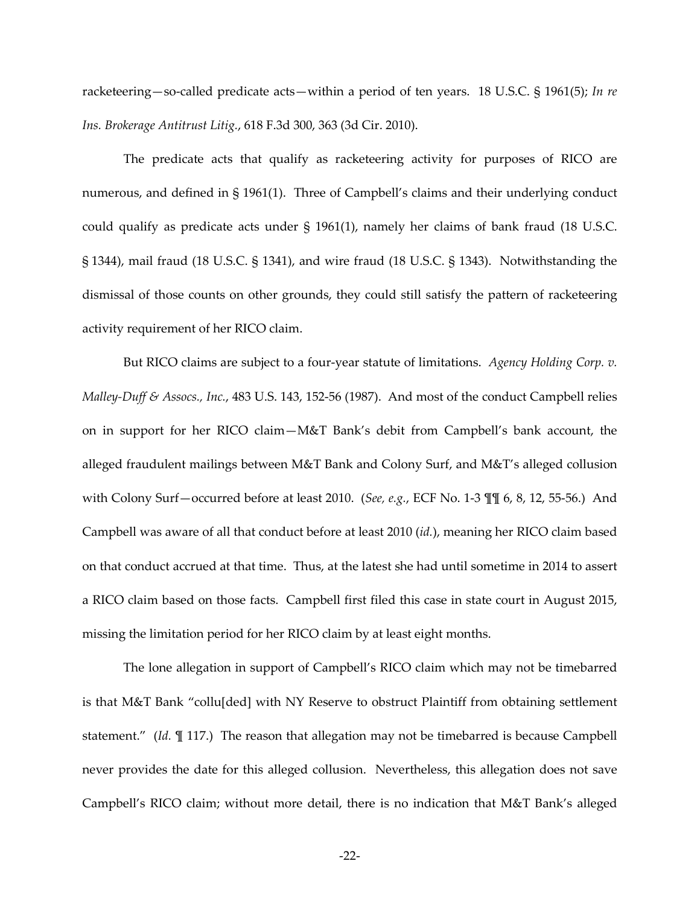racketeering—so-called predicate acts—within a period of ten years. 18 U.S.C. § 1961(5); *In re Ins. Brokerage Antitrust Litig.*, 618 F.3d 300, 363 (3d Cir. 2010).

The predicate acts that qualify as racketeering activity for purposes of RICO are numerous, and defined in § 1961(1). Three of Campbell's claims and their underlying conduct could qualify as predicate acts under § 1961(1), namely her claims of bank fraud (18 U.S.C. § 1344), mail fraud (18 U.S.C. § 1341), and wire fraud (18 U.S.C. § 1343). Notwithstanding the dismissal of those counts on other grounds, they could still satisfy the pattern of racketeering activity requirement of her RICO claim.

But RICO claims are subject to a four-year statute of limitations. *Agency Holding Corp. v. Malley-Duff & Assocs., Inc.*, 483 U.S. 143, 152-56 (1987). And most of the conduct Campbell relies on in support for her RICO claim—M&T Bank's debit from Campbell's bank account, the alleged fraudulent mailings between M&T Bank and Colony Surf, and M&T's alleged collusion with Colony Surf—occurred before at least 2010. (*See, e.g.*, ECF No. 1-3 ¶¶ 6, 8, 12, 55-56.) And Campbell was aware of all that conduct before at least 2010 (*id.*), meaning her RICO claim based on that conduct accrued at that time. Thus, at the latest she had until sometime in 2014 to assert a RICO claim based on those facts. Campbell first filed this case in state court in August 2015, missing the limitation period for her RICO claim by at least eight months.

The lone allegation in support of Campbell's RICO claim which may not be timebarred is that M&T Bank "collu[ded] with NY Reserve to obstruct Plaintiff from obtaining settlement statement." (*Id.* ¶ 117.) The reason that allegation may not be timebarred is because Campbell never provides the date for this alleged collusion. Nevertheless, this allegation does not save Campbell's RICO claim; without more detail, there is no indication that M&T Bank's alleged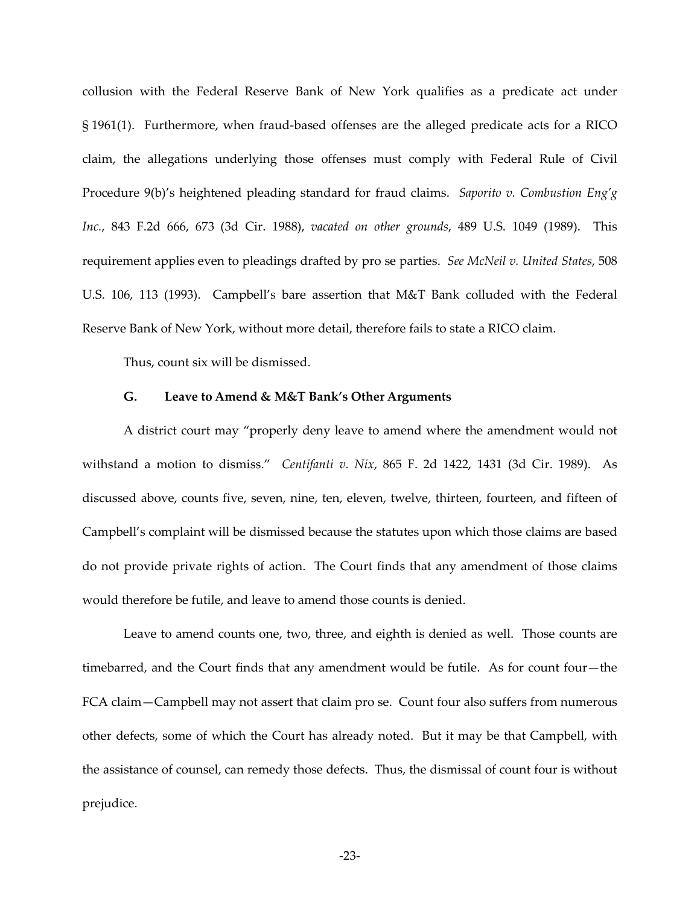collusion with the Federal Reserve Bank of New York qualifies as a predicate act under § 1961(1). Furthermore, when fraud-based offenses are the alleged predicate acts for a RICO claim, the allegations underlying those offenses must comply with Federal Rule of Civil Procedure 9(b)'s heightened pleading standard for fraud claims. *Saporito v. Combustion Eng'g Inc.*, 843 F.2d 666, 673 (3d Cir. 1988), *vacated on other grounds*, 489 U.S. 1049 (1989). This requirement applies even to pleadings drafted by pro se parties. *See McNeil v. United States*, 508 U.S. 106, 113 (1993). Campbell's bare assertion that M&T Bank colluded with the Federal Reserve Bank of New York, without more detail, therefore fails to state a RICO claim.

Thus, count six will be dismissed.

## **G. Leave to Amend & M&T Bank's Other Arguments**

A district court may "properly deny leave to amend where the amendment would not withstand a motion to dismiss." *Centifanti v. Nix*, 865 F. 2d 1422, 1431 (3d Cir. 1989). As discussed above, counts five, seven, nine, ten, eleven, twelve, thirteen, fourteen, and fifteen of Campbell's complaint will be dismissed because the statutes upon which those claims are based do not provide private rights of action. The Court finds that any amendment of those claims would therefore be futile, and leave to amend those counts is denied.

Leave to amend counts one, two, three, and eighth is denied as well. Those counts are timebarred, and the Court finds that any amendment would be futile. As for count four—the FCA claim—Campbell may not assert that claim pro se. Count four also suffers from numerous other defects, some of which the Court has already noted. But it may be that Campbell, with the assistance of counsel, can remedy those defects. Thus, the dismissal of count four is without prejudice.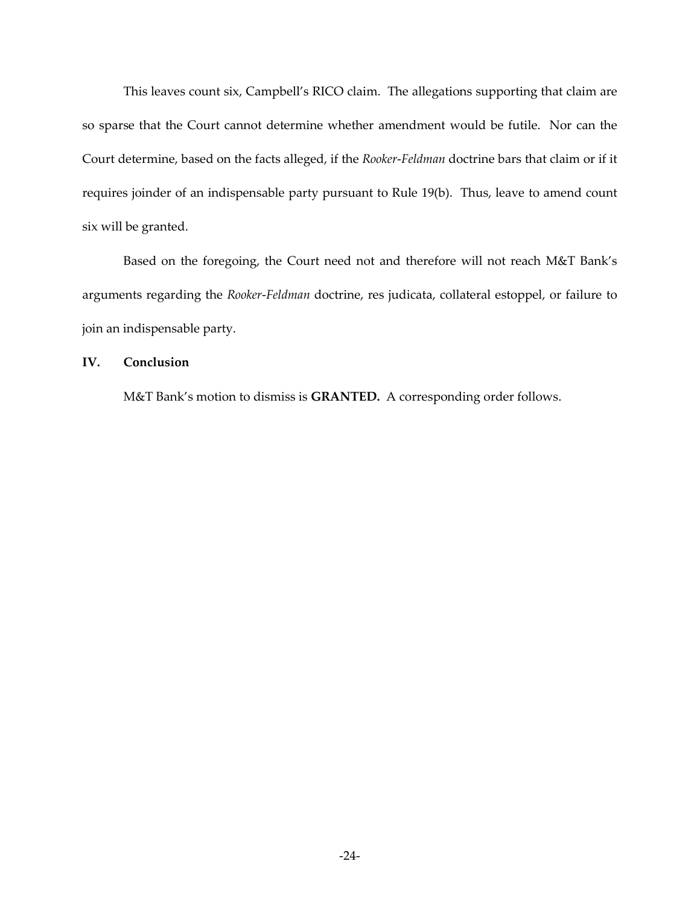This leaves count six, Campbell's RICO claim. The allegations supporting that claim are so sparse that the Court cannot determine whether amendment would be futile. Nor can the Court determine, based on the facts alleged, if the *Rooker*-*Feldman* doctrine bars that claim or if it requires joinder of an indispensable party pursuant to Rule 19(b). Thus, leave to amend count six will be granted.

Based on the foregoing, the Court need not and therefore will not reach M&T Bank's arguments regarding the *Rooker*-*Feldman* doctrine, res judicata, collateral estoppel, or failure to join an indispensable party.

## **IV. Conclusion**

M&T Bank's motion to dismiss is **GRANTED.** A corresponding order follows.